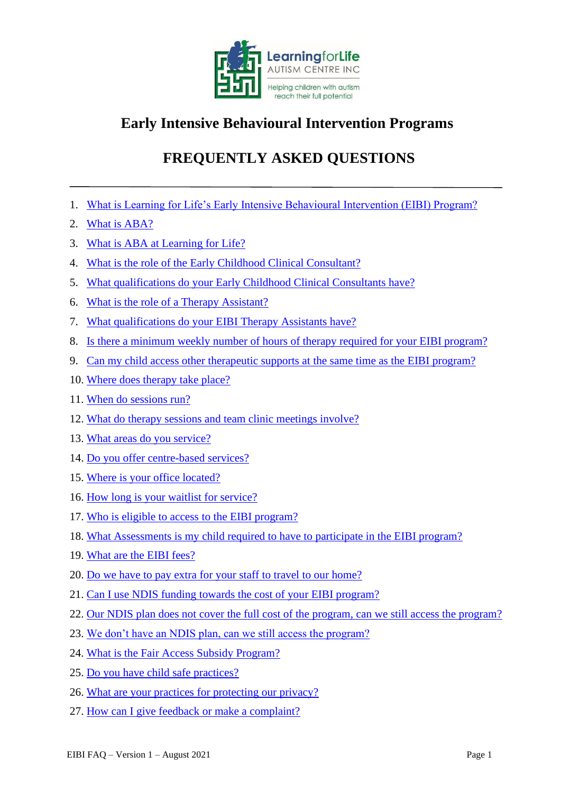

## **Early Intensive Behavioural Intervention Programs**

# **FREQUENTLY ASKED QUESTIONS**

- <span id="page-0-0"></span>1. [What is Learning for Life's Early Intensive Behavioural Intervention \(EIBI\) Program?](#page-1-0)
- 2. [What is ABA?](#page-1-1)
- 3. [What is ABA at Learning for Life?](#page-2-0)
- 4. [What is the role of the Early Childhood Clinical Consultant?](#page-2-1)
- 5. [What qualifications do your Early Childhood Clinical Consultants have?](#page-2-2)
- 6. [What is the role of a Therapy Assistant?](#page-3-0)
- 7. What qualifications do your EIBI Therapy Assistants have?
- 8. Is there a minimum weekly number of hours of therapy required for your EIBI program?
- 9. [Can my child access other therapeutic supports at the same time as the EIBI program?](#page-3-1)
- 10. [Where does therapy take place?](#page-3-2)
- 11. [When do sessions run?](#page-4-0)
- 12. [What do therapy sessions and team clinic meetings involve?](#page-4-1)
- 13. [What areas do you service?](#page-4-2)
- 14. [Do you offer centre-based services?](#page-5-0)
- 15. [Where is your office located?](#page-5-1)
- 16. [How long is your waitlist for service?](#page-5-2)
- 17. [Who is eligible to access to the EIBI program?](#page-5-3)
- 18. [What Assessments is my child required to have to participate in the EIBI program?](#page-5-4)
- 19. [What are the EIBI fees?](#page-6-0)
- 20. [Do we have to pay extra for your staff to travel to our home?](#page-6-1)
- 21. [Can I use NDIS funding towards the cost of your EIBI program?](#page-6-2)
- 22. [Our NDIS plan does not cover the full cost of the program, can we still access the program?](#page-6-3)
- 23. [We don't have an NDIS plan, can we still access the program?](#page-7-0)
- 24. [What is the Fair Access Subsidy Program?](#page-7-1)
- 25. [Do you have child safe practices?](#page-7-2)
- 26. [What are your practices for protecting our privacy?](#page-7-3)
- 27. [How can I give feedback or make a complaint?](#page-7-4)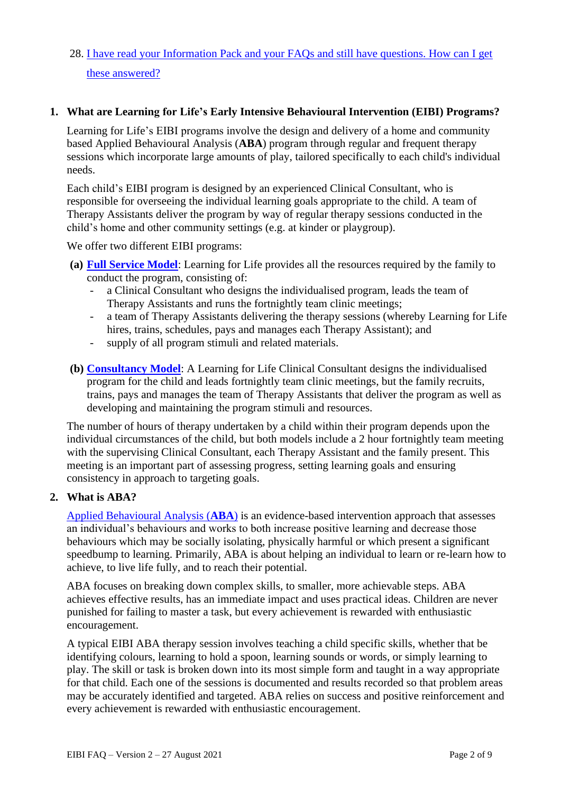28. [I have read your Information Pack and your FAQs and still have questions. How can I get](#page-7-2)  [these answered?](#page-7-2)

#### <span id="page-1-0"></span>**1. What are Learning for Life's Early Intensive Behavioural Intervention (EIBI) Programs?**

Learning for Life's EIBI programs involve the design and delivery of a home and community based Applied Behavioural Analysis (**ABA**) program through regular and frequent therapy sessions which incorporate large amounts of play, tailored specifically to each child's individual needs.

Each child's EIBI program is designed by an experienced Clinical Consultant, who is responsible for overseeing the individual learning goals appropriate to the child. A team of Therapy Assistants deliver the program by way of regular therapy sessions conducted in the child's home and other community settings (e.g. at kinder or playgroup).

We offer two different EIBI programs:

- **(a) [Full Service Model](https://www.learningforlife.com.au/full-service-model/)**: Learning for Life provides all the resources required by the family to conduct the program, consisting of:
	- a Clinical Consultant who designs the individualised program, leads the team of Therapy Assistants and runs the fortnightly team clinic meetings;
	- a team of Therapy Assistants delivering the therapy sessions (whereby Learning for Life hires, trains, schedules, pays and manages each Therapy Assistant); and
	- supply of all program stimuli and related materials.
- **(b) [Consultancy Model](https://www.learningforlife.com.au/workshop-model/)**: A Learning for Life Clinical Consultant designs the individualised program for the child and leads fortnightly team clinic meetings, but the family recruits, trains, pays and manages the team of Therapy Assistants that deliver the program as well as developing and maintaining the program stimuli and resources.

The number of hours of therapy undertaken by a child within their program depends upon the individual circumstances of the child, but both models include a 2 hour fortnightly team meeting with the supervising Clinical Consultant, each Therapy Assistant and the family present. This meeting is an important part of assessing progress, setting learning goals and ensuring consistency in approach to targeting goals.

#### <span id="page-1-1"></span>**2. What is ABA?**

[Applied Behavioural Analysis \(](https://www.learningforlife.com.au/aba-therapy/)**ABA**) is an evidence-based intervention approach that assesses an individual's behaviours and works to both increase positive learning and decrease those behaviours which may be socially isolating, physically harmful or which present a significant speedbump to learning. Primarily, ABA is about helping an individual to learn or re-learn how to achieve, to live life fully, and to reach their potential.

ABA focuses on breaking down complex skills, to smaller, more achievable steps. ABA achieves effective results, has an immediate impact and uses practical ideas. Children are never punished for failing to master a task, but every achievement is rewarded with enthusiastic encouragement.

A typical EIBI ABA therapy session involves teaching a child specific skills, whether that be identifying colours, learning to hold a spoon, learning sounds or words, or simply learning to play. The skill or task is broken down into its most simple form and taught in a way appropriate for that child. Each one of the sessions is documented and results recorded so that problem areas may be accurately identified and targeted. ABA relies on success and positive reinforcement and every achievement is rewarded with enthusiastic encouragement.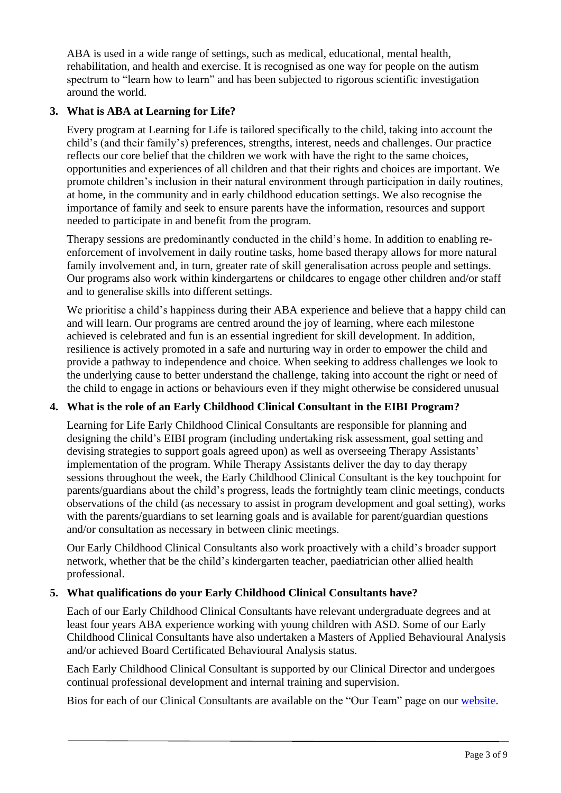ABA is used in a wide range of settings, such as medical, educational, mental health, rehabilitation, and health and exercise. It is recognised as one way for people on the autism spectrum to "learn how to learn" and has been subjected to rigorous scientific investigation around the world.

## <span id="page-2-0"></span>**3. What is ABA at Learning for Life?**

Every program at Learning for Life is tailored specifically to the child, taking into account the child's (and their family's) preferences, strengths, interest, needs and challenges. Our practice reflects our core belief that the children we work with have the right to the same choices, opportunities and experiences of all children and that their rights and choices are important. We promote children's inclusion in their natural environment through participation in daily routines, at home, in the community and in early childhood education settings. We also recognise the importance of family and seek to ensure parents have the information, resources and support needed to participate in and benefit from the program.

Therapy sessions are predominantly conducted in the child's home. In addition to enabling reenforcement of involvement in daily routine tasks, home based therapy allows for more natural family involvement and, in turn, greater rate of skill generalisation across people and settings. Our programs also work within kindergartens or childcares to engage other children and/or staff and to generalise skills into different settings.

We prioritise a child's happiness during their ABA experience and believe that a happy child can and will learn. Our programs are centred around the joy of learning, where each milestone achieved is celebrated and fun is an essential ingredient for skill development. In addition, resilience is actively promoted in a safe and nurturing way in order to empower the child and provide a pathway to independence and choice*.* When seeking to address challenges we look to the underlying cause to better understand the challenge, taking into account the right or need of the child to engage in actions or behaviours even if they might otherwise be considered unusual

## <span id="page-2-1"></span>**4. What is the role of an Early Childhood Clinical Consultant in the EIBI Program?**

Learning for Life Early Childhood Clinical Consultants are responsible for planning and designing the child's EIBI program (including undertaking risk assessment, goal setting and devising strategies to support goals agreed upon) as well as overseeing Therapy Assistants' implementation of the program. While Therapy Assistants deliver the day to day therapy sessions throughout the week, the Early Childhood Clinical Consultant is the key touchpoint for parents/guardians about the child's progress, leads the fortnightly team clinic meetings, conducts observations of the child (as necessary to assist in program development and goal setting), works with the parents/guardians to set learning goals and is available for parent/guardian questions and/or consultation as necessary in between clinic meetings.

Our Early Childhood Clinical Consultants also work proactively with a child's broader support network, whether that be the child's kindergarten teacher, paediatrician other allied health professional.

## <span id="page-2-2"></span>**5. What qualifications do your Early Childhood Clinical Consultants have?**

Each of our Early Childhood Clinical Consultants have relevant undergraduate degrees and at least four years ABA experience working with young children with ASD. Some of our Early Childhood Clinical Consultants have also undertaken a Masters of Applied Behavioural Analysis and/or achieved Board Certificated Behavioural Analysis status.

Each Early Childhood Clinical Consultant is supported by our Clinical Director and undergoes continual professional development and internal training and supervision.

Bios for each of our Clinical Consultants are available on the "Our Team" page on our [website.](https://www.learningforlife.com.au/administrative-and-clinical-team/)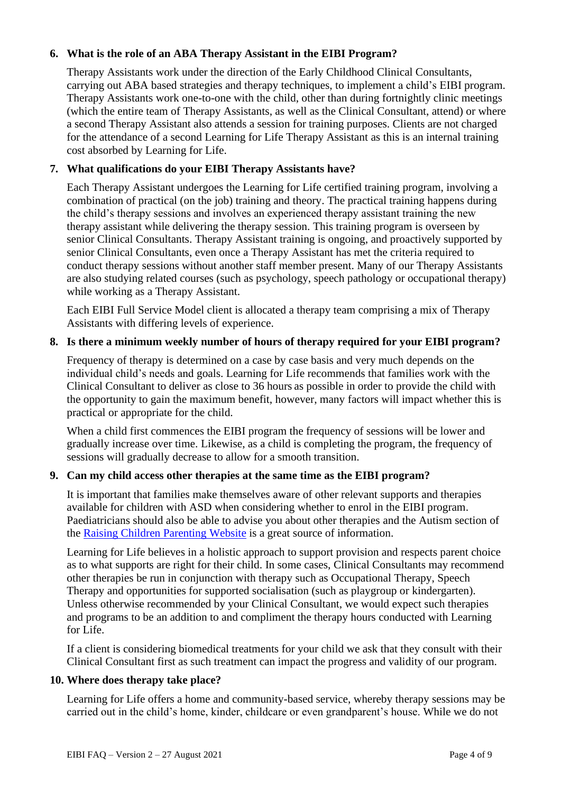## <span id="page-3-0"></span>**6. What is the role of an ABA Therapy Assistant in the EIBI Program?**

Therapy Assistants work under the direction of the Early Childhood Clinical Consultants, carrying out ABA based strategies and therapy techniques, to implement a child's EIBI program. Therapy Assistants work one-to-one with the child, other than during fortnightly clinic meetings (which the entire team of Therapy Assistants, as well as the Clinical Consultant, attend) or where a second Therapy Assistant also attends a session for training purposes. Clients are not charged for the attendance of a second Learning for Life Therapy Assistant as this is an internal training cost absorbed by Learning for Life.

## **7. What qualifications do your EIBI Therapy Assistants have?**

Each Therapy Assistant undergoes the Learning for Life certified training program, involving a combination of practical (on the job) training and theory. The practical training happens during the child's therapy sessions and involves an experienced therapy assistant training the new therapy assistant while delivering the therapy session. This training program is overseen by senior Clinical Consultants. Therapy Assistant training is ongoing, and proactively supported by senior Clinical Consultants, even once a Therapy Assistant has met the criteria required to conduct therapy sessions without another staff member present. Many of our Therapy Assistants are also studying related courses (such as psychology, speech pathology or occupational therapy) while working as a Therapy Assistant.

Each EIBI Full Service Model client is allocated a therapy team comprising a mix of Therapy Assistants with differing levels of experience.

## **8. Is there a minimum weekly number of hours of therapy required for your EIBI program?**

Frequency of therapy is determined on a case by case basis and very much depends on the individual child's needs and goals. Learning for Life recommends that families work with the Clinical Consultant to deliver as close to 36 hours as possible in order to provide the child with the opportunity to gain the maximum benefit, however, many factors will impact whether this is practical or appropriate for the child.

When a child first commences the EIBI program the frequency of sessions will be lower and gradually increase over time. Likewise, as a child is completing the program, the frequency of sessions will gradually decrease to allow for a smooth transition.

## <span id="page-3-1"></span>**9. Can my child access other therapies at the same time as the EIBI program?**

It is important that families make themselves aware of other relevant supports and therapies available for children with ASD when considering whether to enrol in the EIBI program. Paediatricians should also be able to advise you about other therapies and the Autism section of the [Raising Children Parenting Website](https://raisingchildren.net.au/autism/therapies-services) is a great source of information.

Learning for Life believes in a holistic approach to support provision and respects parent choice as to what supports are right for their child. In some cases, Clinical Consultants may recommend other therapies be run in conjunction with therapy such as Occupational Therapy, Speech Therapy and opportunities for supported socialisation (such as playgroup or kindergarten). Unless otherwise recommended by your Clinical Consultant, we would expect such therapies and programs to be an addition to and compliment the therapy hours conducted with Learning for Life.

If a client is considering biomedical treatments for your child we ask that they consult with their Clinical Consultant first as such treatment can impact the progress and validity of our program.

#### <span id="page-3-2"></span>**10. Where does therapy take place?**

Learning for Life offers a home and community-based service, whereby therapy sessions may be carried out in the child's home, kinder, childcare or even grandparent's house. While we do not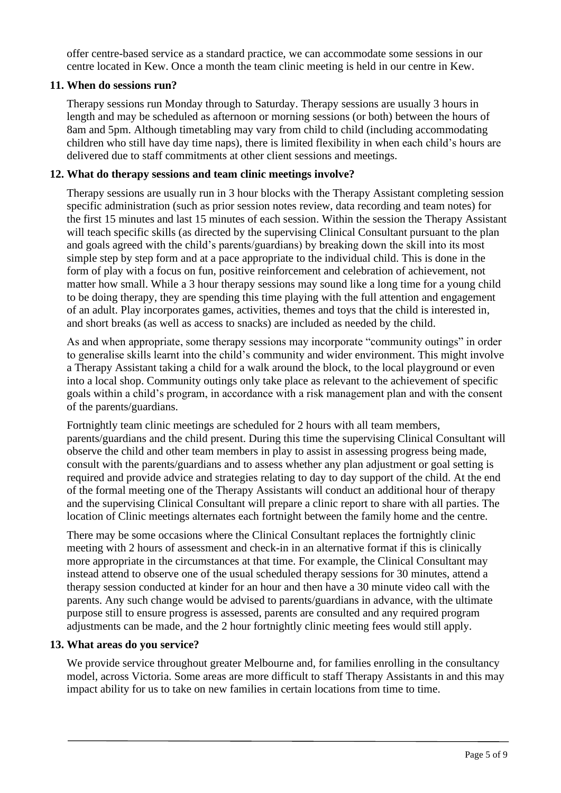offer centre-based service as a standard practice, we can accommodate some sessions in our centre located in Kew. Once a month the team clinic meeting is held in our centre in Kew.

## <span id="page-4-0"></span>**11. When do sessions run?**

Therapy sessions run Monday through to Saturday. Therapy sessions are usually 3 hours in length and may be scheduled as afternoon or morning sessions (or both) between the hours of 8am and 5pm. Although timetabling may vary from child to child (including accommodating children who still have day time naps), there is limited flexibility in when each child's hours are delivered due to staff commitments at other client sessions and meetings.

## <span id="page-4-1"></span>**12. What do therapy sessions and team clinic meetings involve?**

Therapy sessions are usually run in 3 hour blocks with the Therapy Assistant completing session specific administration (such as prior session notes review, data recording and team notes) for the first 15 minutes and last 15 minutes of each session. Within the session the Therapy Assistant will teach specific skills (as directed by the supervising Clinical Consultant pursuant to the plan and goals agreed with the child's parents/guardians) by breaking down the skill into its most simple step by step form and at a pace appropriate to the individual child. This is done in the form of play with a focus on fun, positive reinforcement and celebration of achievement, not matter how small. While a 3 hour therapy sessions may sound like a long time for a young child to be doing therapy, they are spending this time playing with the full attention and engagement of an adult. Play incorporates games, activities, themes and toys that the child is interested in, and short breaks (as well as access to snacks) are included as needed by the child.

As and when appropriate, some therapy sessions may incorporate "community outings" in order to generalise skills learnt into the child's community and wider environment. This might involve a Therapy Assistant taking a child for a walk around the block, to the local playground or even into a local shop. Community outings only take place as relevant to the achievement of specific goals within a child's program, in accordance with a risk management plan and with the consent of the parents/guardians.

Fortnightly team clinic meetings are scheduled for 2 hours with all team members, parents/guardians and the child present. During this time the supervising Clinical Consultant will observe the child and other team members in play to assist in assessing progress being made, consult with the parents/guardians and to assess whether any plan adjustment or goal setting is required and provide advice and strategies relating to day to day support of the child. At the end of the formal meeting one of the Therapy Assistants will conduct an additional hour of therapy and the supervising Clinical Consultant will prepare a clinic report to share with all parties. The location of Clinic meetings alternates each fortnight between the family home and the centre.

There may be some occasions where the Clinical Consultant replaces the fortnightly clinic meeting with 2 hours of assessment and check-in in an alternative format if this is clinically more appropriate in the circumstances at that time. For example, the Clinical Consultant may instead attend to observe one of the usual scheduled therapy sessions for 30 minutes, attend a therapy session conducted at kinder for an hour and then have a 30 minute video call with the parents. Any such change would be advised to parents/guardians in advance, with the ultimate purpose still to ensure progress is assessed, parents are consulted and any required program adjustments can be made, and the 2 hour fortnightly clinic meeting fees would still apply.

#### <span id="page-4-2"></span>**13. What areas do you service?**

We provide service throughout greater Melbourne and, for families enrolling in the consultancy model, across Victoria. Some areas are more difficult to staff Therapy Assistants in and this may impact ability for us to take on new families in certain locations from time to time.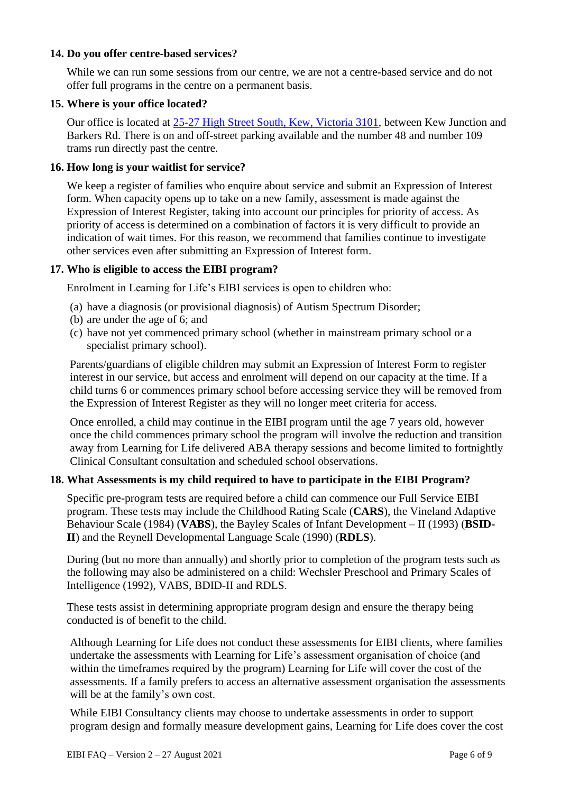#### <span id="page-5-0"></span>**14. Do you offer centre-based services?**

While we can run some sessions from our centre, we are not a centre-based service and do not offer full programs in the centre on a permanent basis.

## <span id="page-5-1"></span>**15. Where is your office located?**

Our office is located at [25-27 High Street South, Kew, Victoria 3101,](https://goo.gl/maps/DRXvNN73uhUFtK5i7) between Kew Junction and Barkers Rd. There is on and off-street parking available and the number 48 and number 109 trams run directly past the centre.

## <span id="page-5-2"></span>**16. How long is your waitlist for service?**

We keep a register of families who enquire about service and submit an Expression of Interest form. When capacity opens up to take on a new family, assessment is made against the Expression of Interest Register, taking into account our principles for priority of access. As priority of access is determined on a combination of factors it is very difficult to provide an indication of wait times. For this reason, we recommend that families continue to investigate other services even after submitting an Expression of Interest form.

## <span id="page-5-3"></span>**17. Who is eligible to access the EIBI program?**

Enrolment in Learning for Life's EIBI services is open to children who:

- (a) have a diagnosis (or provisional diagnosis) of Autism Spectrum Disorder;
- (b) are under the age of 6; and
- (c) have not yet commenced primary school (whether in mainstream primary school or a specialist primary school).

Parents/guardians of eligible children may submit an Expression of Interest Form to register interest in our service, but access and enrolment will depend on our capacity at the time. If a child turns 6 or commences primary school before accessing service they will be removed from the Expression of Interest Register as they will no longer meet criteria for access.

Once enrolled, a child may continue in the EIBI program until the age 7 years old, however once the child commences primary school the program will involve the reduction and transition away from Learning for Life delivered ABA therapy sessions and become limited to fortnightly Clinical Consultant consultation and scheduled school observations.

## <span id="page-5-4"></span>**18. What Assessments is my child required to have to participate in the EIBI Program?**

Specific pre-program tests are required before a child can commence our Full Service EIBI program. These tests may include the Childhood Rating Scale (**CARS**), the Vineland Adaptive Behaviour Scale (1984) (**VABS**), the Bayley Scales of Infant Development – II (1993) (**BSID-II**) and the Reynell Developmental Language Scale (1990) (**RDLS**).

During (but no more than annually) and shortly prior to completion of the program tests such as the following may also be administered on a child: Wechsler Preschool and Primary Scales of Intelligence (1992), VABS, BDID-II and RDLS.

These tests assist in determining appropriate program design and ensure the therapy being conducted is of benefit to the child.

Although Learning for Life does not conduct these assessments for EIBI clients, where families undertake the assessments with Learning for Life's assessment organisation of choice (and within the timeframes required by the program) Learning for Life will cover the cost of the assessments. If a family prefers to access an alternative assessment organisation the assessments will be at the family's own cost.

While EIBI Consultancy clients may choose to undertake assessments in order to support program design and formally measure development gains, Learning for Life does cover the cost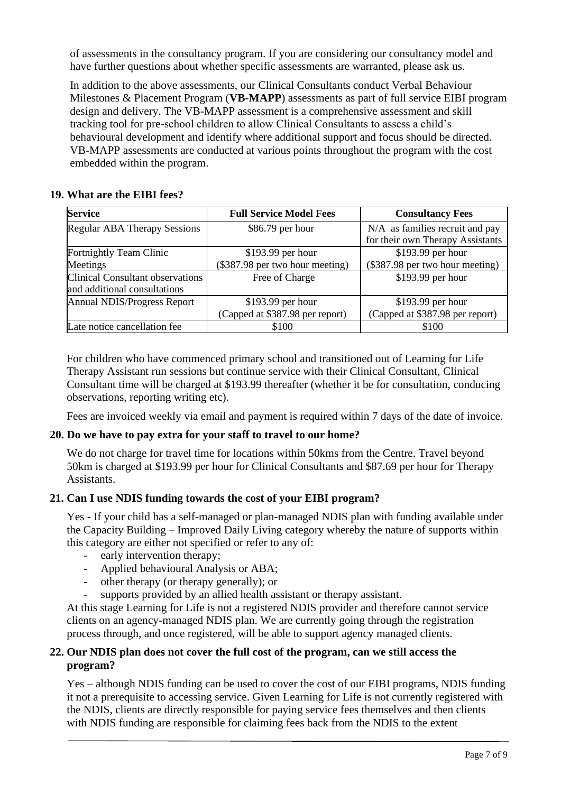of assessments in the consultancy program. If you are considering our consultancy model and have further questions about whether specific assessments are warranted, please ask us.

In addition to the above assessments, our Clinical Consultants conduct Verbal Behaviour Milestones & Placement Program (**VB-MAPP**) assessments as part of full service EIBI program design and delivery. The VB-MAPP assessment is a comprehensive assessment and skill tracking tool for pre-school children to allow Clinical Consultants to assess a child's behavioural development and identify where additional support and focus should be directed. VB-MAPP assessments are conducted at various points throughout the program with the cost embedded within the program.

## <span id="page-6-0"></span>**19. What are the EIBI fees?**

| <b>Service</b>                          | <b>Full Service Model Fees</b>  | <b>Consultancy Fees</b>          |
|-----------------------------------------|---------------------------------|----------------------------------|
| <b>Regular ABA Therapy Sessions</b>     | \$86.79 per hour                | N/A as families recruit and pay  |
|                                         |                                 | for their own Therapy Assistants |
| Fortnightly Team Clinic                 | $$193.99$ per hour              | \$193.99 per hour                |
| Meetings                                | (\$387.98 per two hour meeting) | (\$387.98 per two hour meeting)  |
| <b>Clinical Consultant observations</b> | Free of Charge                  | \$193.99 per hour                |
| and additional consultations            |                                 |                                  |
| Annual NDIS/Progress Report             | $$193.99$ per hour              | \$193.99 per hour                |
|                                         | (Capped at \$387.98 per report) | (Capped at \$387.98 per report)  |
| Late notice cancellation fee            | \$100                           | \$100                            |

For children who have commenced primary school and transitioned out of Learning for Life Therapy Assistant run sessions but continue service with their Clinical Consultant, Clinical Consultant time will be charged at \$193.99 thereafter (whether it be for consultation, conducing observations, reporting writing etc).

Fees are invoiced weekly via email and payment is required within 7 days of the date of invoice.

## <span id="page-6-1"></span>**20. Do we have to pay extra for your staff to travel to our home?**

We do not charge for travel time for locations within 50kms from the Centre. Travel beyond 50km is charged at \$193.99 per hour for Clinical Consultants and \$87.69 per hour for Therapy Assistants.

#### <span id="page-6-2"></span>**21. Can I use NDIS funding towards the cost of your EIBI program?**

Yes - If your child has a self-managed or plan-managed NDIS plan with funding available under the Capacity Building – Improved Daily Living category whereby the nature of supports within this category are either not specified or refer to any of:

- early intervention therapy;
- Applied behavioural Analysis or ABA;
- other therapy (or therapy generally); or
- supports provided by an allied health assistant or therapy assistant.

At this stage Learning for Life is not a registered NDIS provider and therefore cannot service clients on an agency-managed NDIS plan. We are currently going through the registration process through, and once registered, will be able to support agency managed clients.

## <span id="page-6-3"></span>**22. Our NDIS plan does not cover the full cost of the program, can we still access the program?**

Yes – although NDIS funding can be used to cover the cost of our EIBI programs, NDIS funding it not a prerequisite to accessing service. Given Learning for Life is not currently registered with the NDIS, clients are directly responsible for paying service fees themselves and then clients with NDIS funding are responsible for claiming fees back from the NDIS to the extent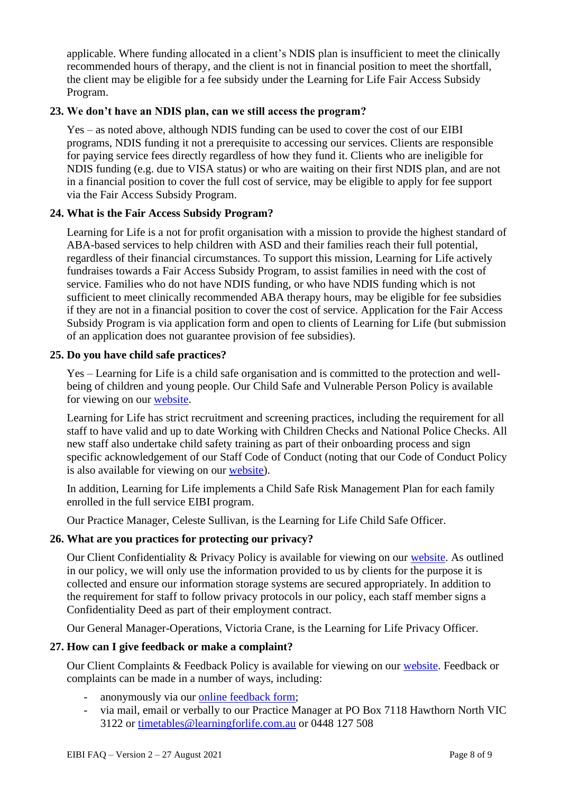applicable. Where funding allocated in a client's NDIS plan is insufficient to meet the clinically recommended hours of therapy, and the client is not in financial position to meet the shortfall, the client may be eligible for a fee subsidy under the Learning for Life Fair Access Subsidy Program.

#### <span id="page-7-0"></span>**23. We don't have an NDIS plan, can we still access the program?**

Yes – as noted above, although NDIS funding can be used to cover the cost of our EIBI programs, NDIS funding it not a prerequisite to accessing our services. Clients are responsible for paying service fees directly regardless of how they fund it. Clients who are ineligible for NDIS funding (e.g. due to VISA status) or who are waiting on their first NDIS plan, and are not in a financial position to cover the full cost of service, may be eligible to apply for fee support via the Fair Access Subsidy Program.

## <span id="page-7-1"></span>**24. What is the Fair Access Subsidy Program?**

Learning for Life is a not for profit organisation with a mission to provide the highest standard of ABA-based services to help children with ASD and their families reach their full potential, regardless of their financial circumstances. To support this mission, Learning for Life actively fundraises towards a Fair Access Subsidy Program, to assist families in need with the cost of service. Families who do not have NDIS funding, or who have NDIS funding which is not sufficient to meet clinically recommended ABA therapy hours, may be eligible for fee subsidies if they are not in a financial position to cover the cost of service. Application for the Fair Access Subsidy Program is via application form and open to clients of Learning for Life (but submission of an application does not guarantee provision of fee subsidies).

#### <span id="page-7-2"></span>**25. Do you have child safe practices?**

Yes – Learning for Life is a child safe organisation and is committed to the protection and wellbeing of children and young people. Our Child Safe and Vulnerable Person Policy is available for viewing on our [website.](https://www.learningforlife.com.au/client-policies/)

Learning for Life has strict recruitment and screening practices, including the requirement for all staff to have valid and up to date Working with Children Checks and National Police Checks. All new staff also undertake child safety training as part of their onboarding process and sign specific acknowledgement of our Staff Code of Conduct (noting that our Code of Conduct Policy is also available for viewing on our [website\)](https://www.learningforlife.com.au/client-policies/).

In addition, Learning for Life implements a Child Safe Risk Management Plan for each family enrolled in the full service EIBI program.

Our Practice Manager, Celeste Sullivan, is the Learning for Life Child Safe Officer.

## <span id="page-7-3"></span>**26. What are you practices for protecting our privacy?**

Our Client Confidentiality & Privacy Policy is available for viewing on our [website.](https://www.learningforlife.com.au/client-policies/) As outlined in our policy, we will only use the information provided to us by clients for the purpose it is collected and ensure our information storage systems are secured appropriately. In addition to the requirement for staff to follow privacy protocols in our policy, each staff member signs a Confidentiality Deed as part of their employment contract.

Our General Manager-Operations, Victoria Crane, is the Learning for Life Privacy Officer.

## <span id="page-7-4"></span>**27. How can I give feedback or make a complaint?**

Our Client Complaints & Feedback Policy is available for viewing on our [website.](https://www.learningforlife.com.au/client-policies/) Feedback or complaints can be made in a number of ways, including:

- anonymously via our [online feedback form;](https://www.learningforlife.com.au/feedback-and-complaints/)
- via mail, email or verbally to our Practice Manager at PO Box 7118 Hawthorn North VIC 3122 or [timetables@learningforlife.com.au](mailto:timetables@learningforlife.com.au) or 0448 127 508